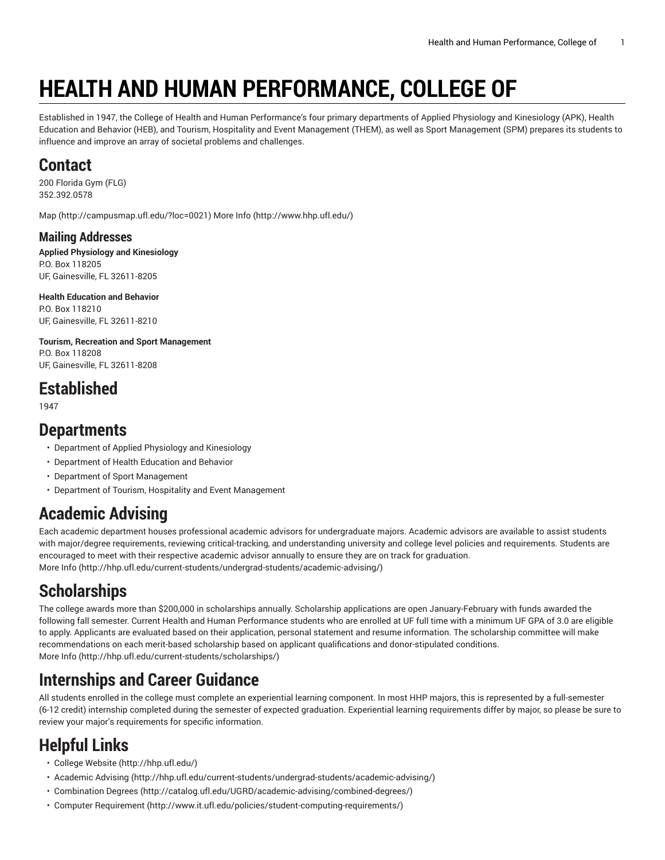# **HEALTH AND HUMAN PERFORMANCE, COLLEGE OF**

Established in 1947, the College of Health and Human Performance's four primary departments of Applied Physiology and Kinesiology (APK), Health Education and Behavior (HEB), and Tourism, Hospitality and Event Management (THEM), as well as Sport Management (SPM) prepares its students to influence and improve an array of societal problems and challenges.

### **Contact**

200 Florida Gym (FLG) 352.392.0578

[Map](http://campusmap.ufl.edu/?loc=0021) ([http://campusmap.ufl.edu/?loc=0021\)](http://campusmap.ufl.edu/?loc=0021) [More](http://www.hhp.ufl.edu/) Info ([http://www.hhp.ufl.edu/\)](http://www.hhp.ufl.edu/)

#### **Mailing Addresses**

**Applied Physiology and Kinesiology** P.O. Box 118205 UF, Gainesville, FL 32611-8205

**Health Education and Behavior** P.O. Box 118210 UF, Gainesville, FL 32611-8210

**Tourism, Recreation and Sport Management** P.O. Box 118208 UF, Gainesville, FL 32611-8208

# **Established**

1947

#### **Departments**

- Department of Applied Physiology and Kinesiology
- Department of Health Education and Behavior
- Department of Sport Management
- Department of Tourism, Hospitality and Event Management

# **Academic Advising**

Each academic department houses professional academic advisors for undergraduate majors. Academic advisors are available to assist students with major/degree requirements, reviewing critical-tracking, and understanding university and college level policies and requirements. Students are encouraged to meet with their respective academic advisor annually to ensure they are on track for graduation. [More](http://hhp.ufl.edu/current-students/undergrad-students/academic-advising/) Info [\(http://hhp.ufl.edu/current-students/undergrad-students/academic-advising/\)](http://hhp.ufl.edu/current-students/undergrad-students/academic-advising/)

# **Scholarships**

The college awards more than \$200,000 in scholarships annually. Scholarship applications are open January-February with funds awarded the following fall semester. Current Health and Human Performance students who are enrolled at UF full time with a minimum UF GPA of 3.0 are eligible to apply. Applicants are evaluated based on their application, personal statement and resume information. The scholarship committee will make recommendations on each merit-based scholarship based on applicant qualifications and donor-stipulated conditions. [More](http://hhp.ufl.edu/current-students/scholarships/) Info [\(http://hhp.ufl.edu/current-students/scholarships/\)](http://hhp.ufl.edu/current-students/scholarships/)

# **Internships and Career Guidance**

All students enrolled in the college must complete an experiential learning component. In most HHP majors, this is represented by a full-semester (6-12 credit) internship completed during the semester of expected graduation. Experiential learning requirements differ by major, so please be sure to review your major's requirements for specific information.

# **Helpful Links**

- College [Website](http://hhp.ufl.edu/) [\(http://hhp.ufl.edu/](http://hhp.ufl.edu/))
- [Academic Advising \(http://hhp.ufl.edu/current-students/undergrad-students/academic-advising/](http://hhp.ufl.edu/current-students/undergrad-students/academic-advising/))
- [Combination](http://catalog.ufl.edu/UGRD/academic-advising/combined-degrees/) Degrees (<http://catalog.ufl.edu/UGRD/academic-advising/combined-degrees/>)
- Computer [Requirement](http://www.it.ufl.edu/policies/student-computing-requirements/) [\(http://www.it.ufl.edu/policies/student-computing-requirements/\)](http://www.it.ufl.edu/policies/student-computing-requirements/)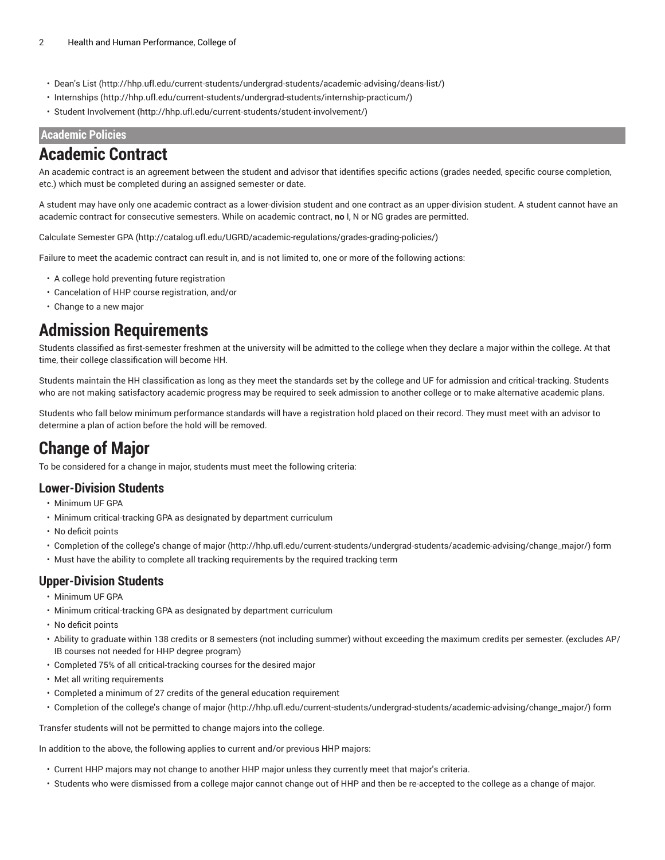- [Dean's](http://hhp.ufl.edu/current-students/undergrad-students/academic-advising/deans-list/) List ([http://hhp.ufl.edu/current-students/undergrad-students/academic-advising/deans-list/\)](http://hhp.ufl.edu/current-students/undergrad-students/academic-advising/deans-list/)
- [Internships \(http://hhp.ufl.edu/current-students/undergrad-students/internship-practicum/](http://hhp.ufl.edu/current-students/undergrad-students/internship-practicum/))
- Student [Involvement](http://hhp.ufl.edu/current-students/student-involvement/) ([http://hhp.ufl.edu/current-students/student-involvement/\)](http://hhp.ufl.edu/current-students/student-involvement/)

#### **Academic Policies**

#### **Academic Contract**

An academic contract is an agreement between the student and advisor that identifies specific actions (grades needed, specific course completion, etc.) which must be completed during an assigned semester or date.

A student may have only one academic contract as a lower-division student and one contract as an upper-division student. A student cannot have an academic contract for consecutive semesters. While on academic contract, **no** I, N or NG grades are permitted.

Calculate [Semester](http://catalog.ufl.edu/UGRD/academic-regulations/grades-grading-policies/) GPA (<http://catalog.ufl.edu/UGRD/academic-regulations/grades-grading-policies/>)

Failure to meet the academic contract can result in, and is not limited to, one or more of the following actions:

- A college hold preventing future registration
- Cancelation of HHP course registration, and/or
- Change to a new major

#### **Admission Requirements**

Students classified as first-semester freshmen at the university will be admitted to the college when they declare a major within the college. At that time, their college classification will become HH.

Students maintain the HH classification as long as they meet the standards set by the college and UF for admission and critical-tracking. Students who are not making satisfactory academic progress may be required to seek admission to another college or to make alternative academic plans.

Students who fall below minimum performance standards will have a registration hold placed on their record. They must meet with an advisor to determine a plan of action before the hold will be removed.

### **Change of Major**

To be considered for a change in major, students must meet the following criteria:

#### **Lower-Division Students**

- Minimum UF GPA
- Minimum critical-tracking GPA as designated by department curriculum
- No deficit points
- Completion of the college's [change of major \(http://hhp.ufl.edu/current-students/undergrad-students/academic-advising/change\\_major/](http://hhp.ufl.edu/current-students/undergrad-students/academic-advising/change_major/)) form
- Must have the ability to complete all tracking requirements by the required tracking term

#### **Upper-Division Students**

- Minimum UF GPA
- Minimum critical-tracking GPA as designated by department curriculum
- No deficit points
- Ability to graduate within 138 credits or 8 semesters (not including summer) without exceeding the maximum credits per semester. (excludes AP/ IB courses not needed for HHP degree program)
- Completed 75% of all critical-tracking courses for the desired major
- Met all writing requirements
- Completed a minimum of 27 credits of the general education requirement
- Completion of the college's [change of major \(http://hhp.ufl.edu/current-students/undergrad-students/academic-advising/change\\_major/](http://hhp.ufl.edu/current-students/undergrad-students/academic-advising/change_major/)) form

Transfer students will not be permitted to change majors into the college.

In addition to the above, the following applies to current and/or previous HHP majors:

- Current HHP majors may not change to another HHP major unless they currently meet that major's criteria.
- Students who were dismissed from a college major cannot change out of HHP and then be re-accepted to the college as a change of major.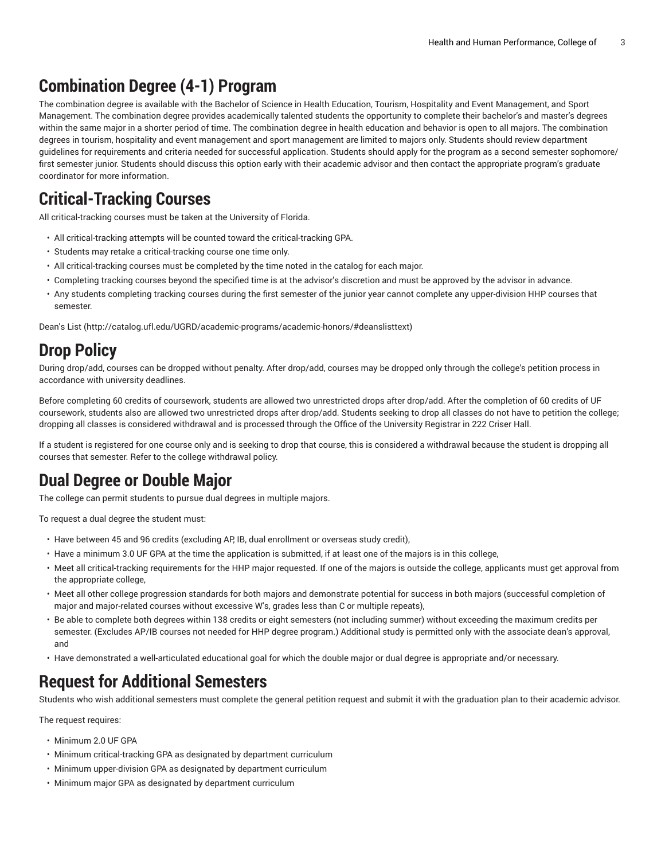# **Combination Degree (4-1) Program**

The combination degree is available with the Bachelor of Science in Health Education, Tourism, Hospitality and Event Management, and Sport Management. The combination degree provides academically talented students the opportunity to complete their bachelor's and master's degrees within the same major in a shorter period of time. The combination degree in health education and behavior is open to all majors. The combination degrees in tourism, hospitality and event management and sport management are limited to majors only. Students should review department guidelines for requirements and criteria needed for successful application. Students should apply for the program as a second semester sophomore/ first semester junior. Students should discuss this option early with their academic advisor and then contact the appropriate program's graduate coordinator for more information.

# **Critical-Tracking Courses**

All critical-tracking courses must be taken at the University of Florida.

- All critical-tracking attempts will be counted toward the critical-tracking GPA.
- Students may retake a critical-tracking course one time only.
- All critical-tracking courses must be completed by the time noted in the catalog for each major.
- Completing tracking courses beyond the specified time is at the advisor's discretion and must be approved by the advisor in advance.
- Any students completing tracking courses during the first semester of the junior year cannot complete any upper-division HHP courses that semester.

[Dean's](http://catalog.ufl.edu/UGRD/academic-programs/academic-honors/#deanslisttext) List (<http://catalog.ufl.edu/UGRD/academic-programs/academic-honors/#deanslisttext>)

### **Drop Policy**

During drop/add, courses can be dropped without penalty. After drop/add, courses may be dropped only through the college's petition process in accordance with university deadlines.

Before completing 60 credits of coursework, students are allowed two unrestricted drops after drop/add. After the completion of 60 credits of UF coursework, students also are allowed two unrestricted drops after drop/add. Students seeking to drop all classes do not have to petition the college; dropping all classes is considered withdrawal and is processed through the Office of the University Registrar in 222 Criser Hall.

If a student is registered for one course only and is seeking to drop that course, this is considered a withdrawal because the student is dropping all courses that semester. Refer to the college withdrawal policy.

### **Dual Degree or Double Major**

The college can permit students to pursue dual degrees in multiple majors.

To request a dual degree the student must:

- Have between 45 and 96 credits (excluding AP, IB, dual enrollment or overseas study credit),
- Have a minimum 3.0 UF GPA at the time the application is submitted, if at least one of the majors is in this college,
- Meet all critical-tracking requirements for the HHP major requested. If one of the majors is outside the college, applicants must get approval from the appropriate college,
- Meet all other college progression standards for both majors and demonstrate potential for success in both majors (successful completion of major and major-related courses without excessive W's, grades less than C or multiple repeats),
- Be able to complete both degrees within 138 credits or eight semesters (not including summer) without exceeding the maximum credits per semester. (Excludes AP/IB courses not needed for HHP degree program.) Additional study is permitted only with the associate dean's approval, and
- Have demonstrated a well-articulated educational goal for which the double major or dual degree is appropriate and/or necessary.

### **Request for Additional Semesters**

Students who wish additional semesters must complete the general petition request and submit it with the graduation plan to their academic advisor.

The request requires:

- Minimum 2.0 UF GPA
- Minimum critical-tracking GPA as designated by department curriculum
- Minimum upper-division GPA as designated by department curriculum
- Minimum major GPA as designated by department curriculum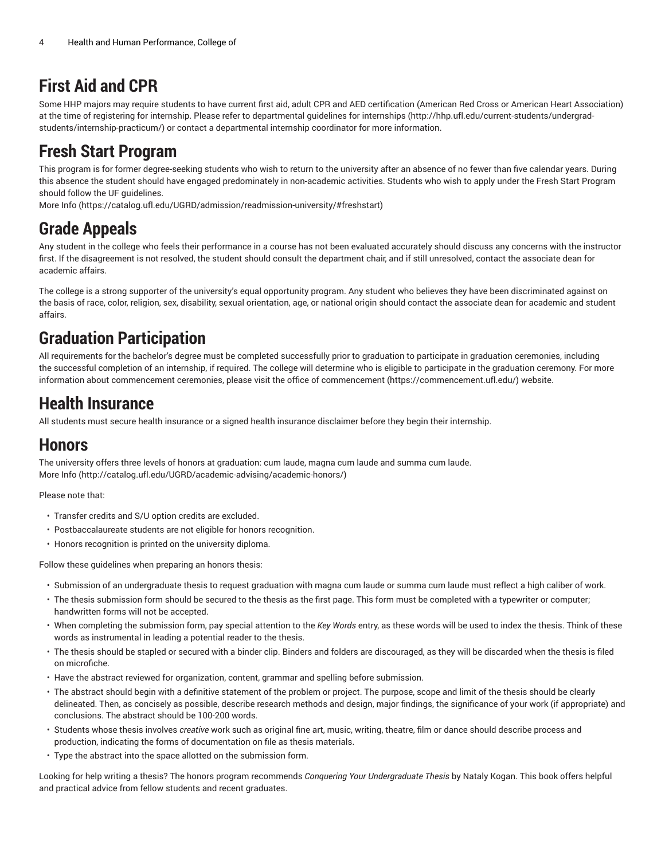# **First Aid and CPR**

Some HHP majors may require students to have current first aid, adult CPR and AED certification (American Red Cross or American Heart Association) at the time of registering for internship. Please refer to departmental guidelines for [internships \(http://hhp.ufl.edu/current-students/undergrad](http://hhp.ufl.edu/current-students/undergrad-students/internship-practicum/)[students/internship-practicum/](http://hhp.ufl.edu/current-students/undergrad-students/internship-practicum/)) or contact a departmental internship coordinator for more information.

# **Fresh Start Program**

This program is for former degree-seeking students who wish to return to the university after an absence of no fewer than five calendar years. During this absence the student should have engaged predominately in non-academic activities. Students who wish to apply under the Fresh Start Program should follow the UF guidelines.

[More](https://catalog.ufl.edu/UGRD/admission/readmission-university/#freshstart) Info [\(https://catalog.ufl.edu/UGRD/admission/readmission-university/#freshstart](https://catalog.ufl.edu/UGRD/admission/readmission-university/#freshstart))

# **Grade Appeals**

Any student in the college who feels their performance in a course has not been evaluated accurately should discuss any concerns with the instructor first. If the disagreement is not resolved, the student should consult the department chair, and if still unresolved, contact the associate dean for academic affairs.

The college is a strong supporter of the university's equal opportunity program. Any student who believes they have been discriminated against on the basis of race, color, religion, sex, disability, sexual orientation, age, or national origin should contact the associate dean for academic and student affairs.

# **Graduation Participation**

All requirements for the bachelor's degree must be completed successfully prior to graduation to participate in graduation ceremonies, including the successful completion of an internship, if required. The college will determine who is eligible to participate in the graduation ceremony. For more information about commencement ceremonies, please visit the office of [commencement \(https://commencement.ufl.edu/](https://commencement.ufl.edu/)) website.

# **Health Insurance**

All students must secure health insurance or a signed health insurance disclaimer before they begin their internship.

# **Honors**

The university offers three levels of honors at graduation: cum laude, magna cum laude and summa cum laude. [More](http://catalog.ufl.edu/UGRD/academic-advising/academic-honors/) Info [\(http://catalog.ufl.edu/UGRD/academic-advising/academic-honors/\)](http://catalog.ufl.edu/UGRD/academic-advising/academic-honors/)

Please note that:

- Transfer credits and S/U option credits are excluded.
- Postbaccalaureate students are not eligible for honors recognition.
- Honors recognition is printed on the university diploma.

Follow these guidelines when preparing an honors thesis:

- Submission of an undergraduate thesis to request graduation with magna cum laude or summa cum laude must reflect a high caliber of work.
- The thesis submission form should be secured to the thesis as the first page. This form must be completed with a typewriter or computer; handwritten forms will not be accepted.
- When completing the submission form, pay special attention to the *Key Words* entry, as these words will be used to index the thesis. Think of these words as instrumental in leading a potential reader to the thesis.
- The thesis should be stapled or secured with a binder clip. Binders and folders are discouraged, as they will be discarded when the thesis is filed on microfiche.
- Have the abstract reviewed for organization, content, grammar and spelling before submission.
- The abstract should begin with a definitive statement of the problem or project. The purpose, scope and limit of the thesis should be clearly delineated. Then, as concisely as possible, describe research methods and design, major findings, the significance of your work (if appropriate) and conclusions. The abstract should be 100-200 words.
- Students whose thesis involves *creative* work such as original fine art, music, writing, theatre, film or dance should describe process and production, indicating the forms of documentation on file as thesis materials.
- Type the abstract into the space allotted on the submission form.

Looking for help writing a thesis? The honors program recommends *Conquering Your Undergraduate Thesis* by Nataly Kogan. This book offers helpful and practical advice from fellow students and recent graduates.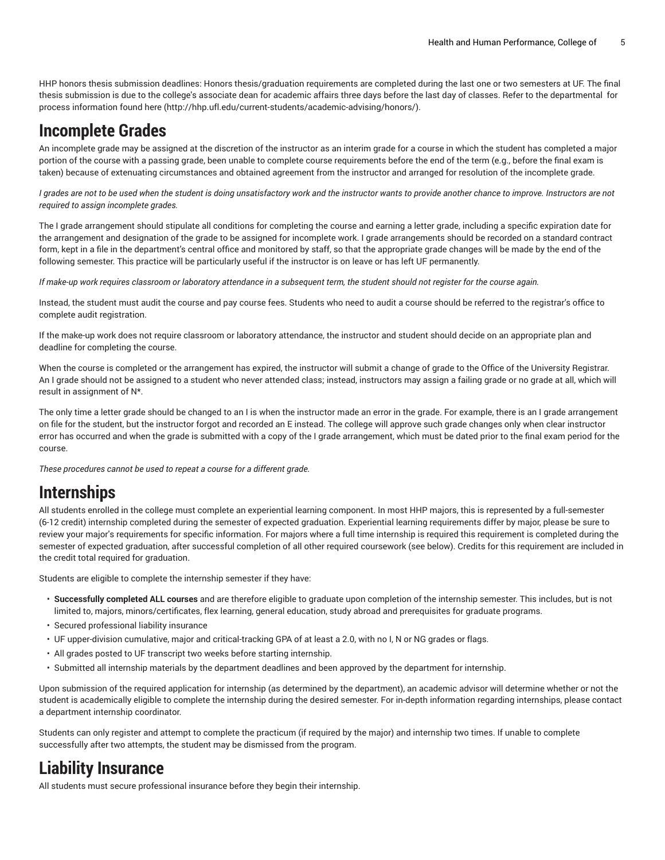HHP honors thesis submission deadlines: Honors thesis/graduation requirements are completed during the last one or two semesters at UF. The final thesis submission is due to the college's associate dean for academic affairs three days before the last day of classes. Refer to the departmental for process information found [here](http://hhp.ufl.edu/current-students/academic-advising/honors/) ([http://hhp.ufl.edu/current-students/academic-advising/honors/\)](http://hhp.ufl.edu/current-students/academic-advising/honors/).

#### **Incomplete Grades**

An incomplete grade may be assigned at the discretion of the instructor as an interim grade for a course in which the student has completed a major portion of the course with a passing grade, been unable to complete course requirements before the end of the term (e.g., before the final exam is taken) because of extenuating circumstances and obtained agreement from the instructor and arranged for resolution of the incomplete grade.

I grades are not to be used when the student is doing unsatisfactory work and the instructor wants to provide another chance to improve. Instructors are not *required to assign incomplete grades.*

The I grade arrangement should stipulate all conditions for completing the course and earning a letter grade, including a specific expiration date for the arrangement and designation of the grade to be assigned for incomplete work. I grade arrangements should be recorded on a standard contract form, kept in a file in the department's central office and monitored by staff, so that the appropriate grade changes will be made by the end of the following semester. This practice will be particularly useful if the instructor is on leave or has left UF permanently.

If make-up work requires classroom or laboratory attendance in a subsequent term, the student should not register for the course again.

Instead, the student must audit the course and pay course fees. Students who need to audit a course should be referred to the registrar's office to complete audit registration.

If the make-up work does not require classroom or laboratory attendance, the instructor and student should decide on an appropriate plan and deadline for completing the course.

When the course is completed or the arrangement has expired, the instructor will submit a change of grade to the Office of the University Registrar. An I grade should not be assigned to a student who never attended class; instead, instructors may assign a failing grade or no grade at all, which will result in assignment of N\*.

The only time a letter grade should be changed to an I is when the instructor made an error in the grade. For example, there is an I grade arrangement on file for the student, but the instructor forgot and recorded an E instead. The college will approve such grade changes only when clear instructor error has occurred and when the grade is submitted with a copy of the I grade arrangement, which must be dated prior to the final exam period for the course.

*These procedures cannot be used to repeat a course for a different grade.*

#### **Internships**

All students enrolled in the college must complete an experiential learning component. In most HHP majors, this is represented by a full-semester (6-12 credit) internship completed during the semester of expected graduation. Experiential learning requirements differ by major, please be sure to review your major's requirements for specific information. For majors where a full time internship is required this requirement is completed during the semester of expected graduation, after successful completion of all other required coursework (see below). Credits for this requirement are included in the credit total required for graduation.

Students are eligible to complete the internship semester if they have:

- **Successfully completed ALL courses** and are therefore eligible to graduate upon completion of the internship semester. This includes, but is not limited to, majors, minors/certificates, flex learning, general education, study abroad and prerequisites for graduate programs.
- Secured professional liability insurance
- UF upper-division cumulative, major and critical-tracking GPA of at least a 2.0, with no I, N or NG grades or flags.
- All grades posted to UF transcript two weeks before starting internship.
- Submitted all internship materials by the department deadlines and been approved by the department for internship.

Upon submission of the required application for internship (as determined by the department), an academic advisor will determine whether or not the student is academically eligible to complete the internship during the desired semester. For in-depth information regarding internships, please contact a department internship coordinator.

Students can only register and attempt to complete the practicum (if required by the major) and internship two times. If unable to complete successfully after two attempts, the student may be dismissed from the program.

#### **Liability Insurance**

All students must secure professional insurance before they begin their internship.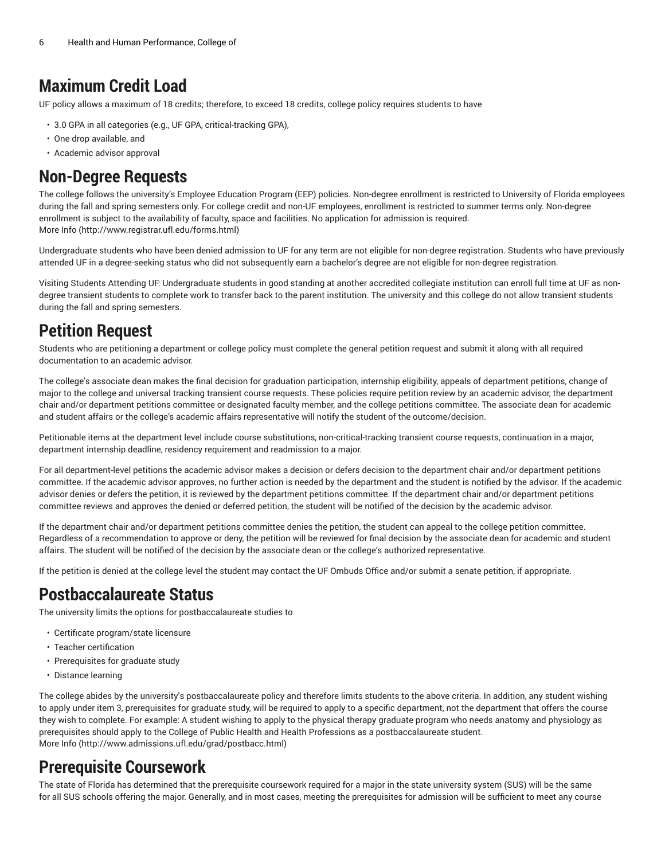#### **Maximum Credit Load**

UF policy allows a maximum of 18 credits; therefore, to exceed 18 credits, college policy requires students to have

- 3.0 GPA in all categories (e.g., UF GPA, critical-tracking GPA),
- One drop available, and
- Academic advisor approval

#### **Non-Degree Requests**

The college follows the university's Employee Education Program (EEP) policies. Non-degree enrollment is restricted to University of Florida employees during the fall and spring semesters only. For college credit and non-UF employees, enrollment is restricted to summer terms only. Non-degree enrollment is subject to the availability of faculty, space and facilities. No application for admission is required. [More](http://www.registrar.ufl.edu/forms.html) Info [\(http://www.registrar.ufl.edu/forms.html\)](http://www.registrar.ufl.edu/forms.html)

Undergraduate students who have been denied admission to UF for any term are not eligible for non-degree registration. Students who have previously attended UF in a degree-seeking status who did not subsequently earn a bachelor's degree are not eligible for non-degree registration.

Visiting Students Attending UF: Undergraduate students in good standing at another accredited collegiate institution can enroll full time at UF as nondegree transient students to complete work to transfer back to the parent institution. The university and this college do not allow transient students during the fall and spring semesters.

### **Petition Request**

Students who are petitioning a department or college policy must complete the general petition request and submit it along with all required documentation to an academic advisor.

The college's associate dean makes the final decision for graduation participation, internship eligibility, appeals of department petitions, change of major to the college and universal tracking transient course requests. These policies require petition review by an academic advisor, the department chair and/or department petitions committee or designated faculty member, and the college petitions committee. The associate dean for academic and student affairs or the college's academic affairs representative will notify the student of the outcome/decision.

Petitionable items at the department level include course substitutions, non-critical-tracking transient course requests, continuation in a major, department internship deadline, residency requirement and readmission to a major.

For all department-level petitions the academic advisor makes a decision or defers decision to the department chair and/or department petitions committee. If the academic advisor approves, no further action is needed by the department and the student is notified by the advisor. If the academic advisor denies or defers the petition, it is reviewed by the department petitions committee. If the department chair and/or department petitions committee reviews and approves the denied or deferred petition, the student will be notified of the decision by the academic advisor.

If the department chair and/or department petitions committee denies the petition, the student can appeal to the college petition committee. Regardless of a recommendation to approve or deny, the petition will be reviewed for final decision by the associate dean for academic and student affairs. The student will be notified of the decision by the associate dean or the college's authorized representative.

If the petition is denied at the college level the student may contact the UF Ombuds Office and/or submit a senate petition, if appropriate.

### **Postbaccalaureate Status**

The university limits the options for postbaccalaureate studies to

- Certificate program/state licensure
- Teacher certification
- Prerequisites for graduate study
- Distance learning

The college abides by the university's postbaccalaureate policy and therefore limits students to the above criteria. In addition, any student wishing to apply under item 3, prerequisites for graduate study, will be required to apply to a specific department, not the department that offers the course they wish to complete. For example: A student wishing to apply to the physical therapy graduate program who needs anatomy and physiology as prerequisites should apply to the College of Public Health and Health Professions as a postbaccalaureate student. [More](http://www.admissions.ufl.edu/grad/postbacc.html) Info [\(http://www.admissions.ufl.edu/grad/postbacc.html](http://www.admissions.ufl.edu/grad/postbacc.html))

#### **Prerequisite Coursework**

The state of Florida has determined that the prerequisite coursework required for a major in the state university system (SUS) will be the same for all SUS schools offering the major. Generally, and in most cases, meeting the prerequisites for admission will be sufficient to meet any course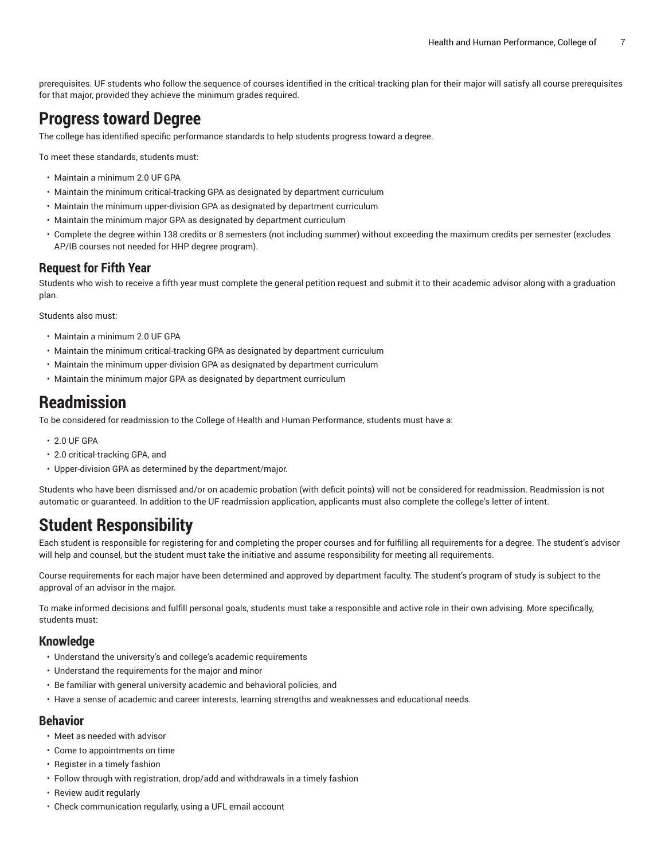prerequisites. UF students who follow the sequence of courses identified in the critical-tracking plan for their major will satisfy all course prerequisites for that major, provided they achieve the minimum grades required.

### **Progress toward Degree**

The college has identified specific performance standards to help students progress toward a degree.

To meet these standards, students must:

- Maintain a minimum 2.0 UF GPA
- Maintain the minimum critical-tracking GPA as designated by department curriculum
- Maintain the minimum upper-division GPA as designated by department curriculum
- Maintain the minimum major GPA as designated by department curriculum
- Complete the degree within 138 credits or 8 semesters (not including summer) without exceeding the maximum credits per semester (excludes AP/IB courses not needed for HHP degree program).

#### **Request for Fifth Year**

Students who wish to receive a fifth year must complete the general petition request and submit it to their academic advisor along with a graduation plan.

Students also must:

- Maintain a minimum 2.0 UF GPA
- Maintain the minimum critical-tracking GPA as designated by department curriculum
- Maintain the minimum upper-division GPA as designated by department curriculum
- Maintain the minimum major GPA as designated by department curriculum

#### **Readmission**

To be considered for readmission to the College of Health and Human Performance, students must have a:

- 2.0 UF GPA
- 2.0 critical-tracking GPA, and
- Upper-division GPA as determined by the department/major.

Students who have been dismissed and/or on academic probation (with deficit points) will not be considered for readmission. Readmission is not automatic or guaranteed. In addition to the UF readmission application, applicants must also complete the college's letter of intent.

### **Student Responsibility**

Each student is responsible for registering for and completing the proper courses and for fulfilling all requirements for a degree. The student's advisor will help and counsel, but the student must take the initiative and assume responsibility for meeting all requirements.

Course requirements for each major have been determined and approved by department faculty. The student's program of study is subject to the approval of an advisor in the major.

To make informed decisions and fulfill personal goals, students must take a responsible and active role in their own advising. More specifically, students must:

#### **Knowledge**

- Understand the university's and college's academic requirements
- Understand the requirements for the major and minor
- Be familiar with general university academic and behavioral policies, and
- Have a sense of academic and career interests, learning strengths and weaknesses and educational needs.

#### **Behavior**

- Meet as needed with advisor
- Come to appointments on time
- Register in a timely fashion
- Follow through with registration, drop/add and withdrawals in a timely fashion
- Review audit regularly
- Check communication regularly, using a UFL email account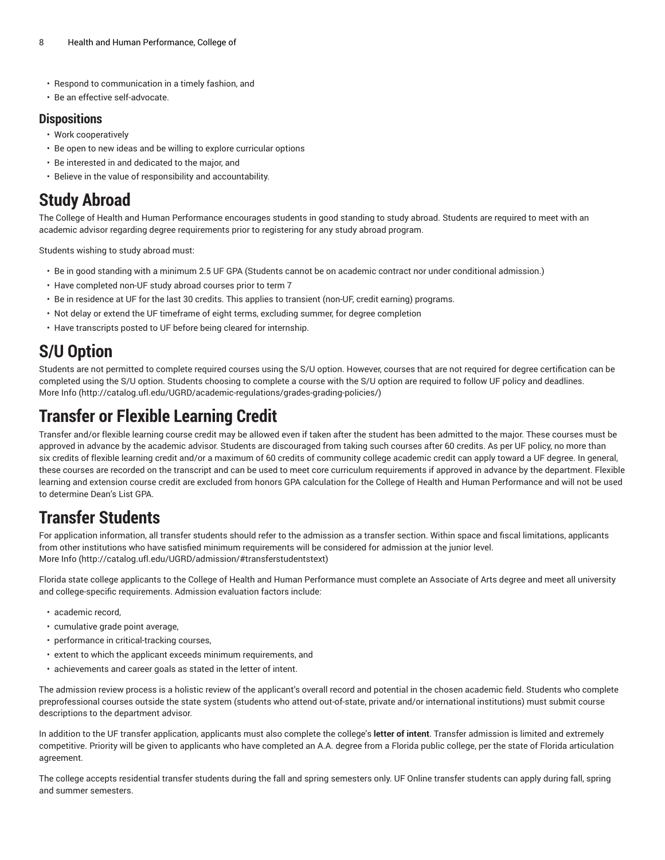- Respond to communication in a timely fashion, and
- Be an effective self-advocate.

#### **Dispositions**

- Work cooperatively
- Be open to new ideas and be willing to explore curricular options
- Be interested in and dedicated to the major, and
- Believe in the value of responsibility and accountability.

# **Study Abroad**

The College of Health and Human Performance encourages students in good standing to study abroad. Students are required to meet with an academic advisor regarding degree requirements prior to registering for any study abroad program.

Students wishing to study abroad must:

- Be in good standing with a minimum 2.5 UF GPA (Students cannot be on academic contract nor under conditional admission.)
- Have completed non-UF study abroad courses prior to term 7
- Be in residence at UF for the last 30 credits. This applies to transient (non-UF, credit earning) programs.
- Not delay or extend the UF timeframe of eight terms, excluding summer, for degree completion
- Have transcripts posted to UF before being cleared for internship.

# **S/U Option**

Students are not permitted to complete required courses using the S/U option. However, courses that are not required for degree certification can be completed using the S/U option. Students choosing to complete a course with the S/U option are required to follow UF policy and deadlines. [More](http://catalog.ufl.edu/UGRD/academic-regulations/grades-grading-policies/) Info [\(http://catalog.ufl.edu/UGRD/academic-regulations/grades-grading-policies/\)](http://catalog.ufl.edu/UGRD/academic-regulations/grades-grading-policies/)

# **Transfer or Flexible Learning Credit**

Transfer and/or flexible learning course credit may be allowed even if taken after the student has been admitted to the major. These courses must be approved in advance by the academic advisor. Students are discouraged from taking such courses after 60 credits. As per UF policy, no more than six credits of flexible learning credit and/or a maximum of 60 credits of community college academic credit can apply toward a UF degree. In general, these courses are recorded on the transcript and can be used to meet core curriculum requirements if approved in advance by the department. Flexible learning and extension course credit are excluded from honors GPA calculation for the College of Health and Human Performance and will not be used to determine Dean's List GPA.

# **Transfer Students**

For application information, all transfer students should refer to the admission as a transfer section. Within space and fiscal limitations, applicants from other institutions who have satisfied minimum requirements will be considered for admission at the junior level. [More](http://catalog.ufl.edu/UGRD/admission/#transferstudentstext) Info [\(http://catalog.ufl.edu/UGRD/admission/#transferstudentstext\)](http://catalog.ufl.edu/UGRD/admission/#transferstudentstext)

Florida state college applicants to the College of Health and Human Performance must complete an Associate of Arts degree and meet all university and college-specific requirements. Admission evaluation factors include:

- academic record,
- cumulative grade point average,
- performance in critical-tracking courses,
- extent to which the applicant exceeds minimum requirements, and
- achievements and career goals as stated in the letter of intent.

The admission review process is a holistic review of the applicant's overall record and potential in the chosen academic field. Students who complete preprofessional courses outside the state system (students who attend out-of-state, private and/or international institutions) must submit course descriptions to the department advisor.

In addition to the UF transfer application, applicants must also complete the college's **letter of intent**. Transfer admission is limited and extremely competitive. Priority will be given to applicants who have completed an A.A. degree from a Florida public college, per the state of Florida articulation agreement.

The college accepts residential transfer students during the fall and spring semesters only. UF Online transfer students can apply during fall, spring and summer semesters.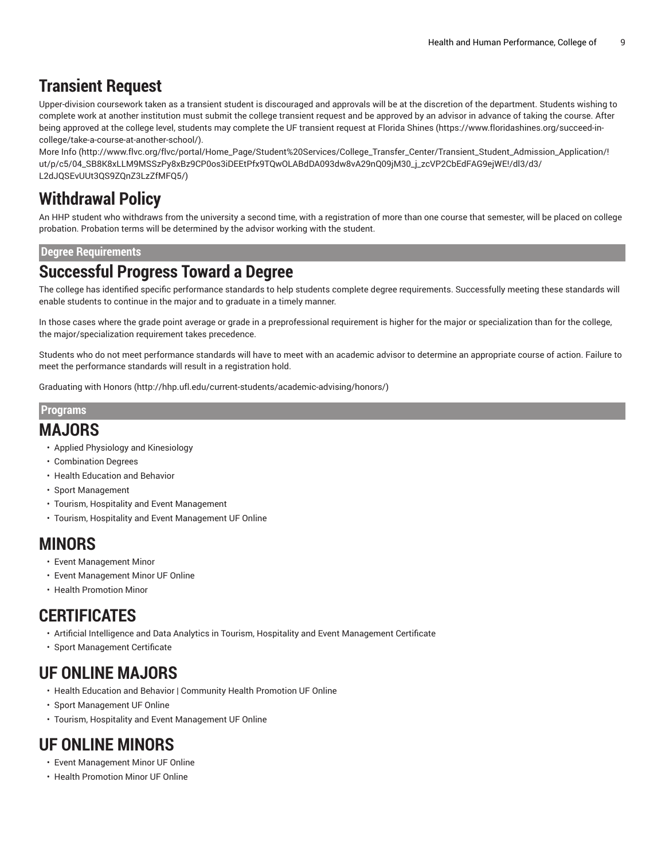### **Transient Request**

Upper-division coursework taken as a transient student is discouraged and approvals will be at the discretion of the department. Students wishing to complete work at another institution must submit the college transient request and be approved by an advisor in advance of taking the course. After being approved at the college level, students may complete the UF transient request at [Florida Shines](https://www.floridashines.org/succeed-in-college/take-a-course-at-another-school/) [\(https://www.floridashines.org/succeed-in](https://www.floridashines.org/succeed-in-college/take-a-course-at-another-school/)[college/take-a-course-at-another-school/\)](https://www.floridashines.org/succeed-in-college/take-a-course-at-another-school/).

[More](http://www.flvc.org/flvc/portal/Home_Page/Student%20Services/College_Transfer_Center/Transient_Student_Admission_Application/!ut/p/c5/04_SB8K8xLLM9MSSzPy8xBz9CP0os3iDEEtPfx9TQwOLABdDA093dw8vA29nQ09jM30_j_zcVP2CbEdFAG9ejWE!/dl3/d3/L2dJQSEvUUt3QS9ZQnZ3LzZfMFQ5/) Info [\(http://www.flvc.org/flvc/portal/Home\\_Page/Student%20Services/College\\_Transfer\\_Center/Transient\\_Student\\_Admission\\_Application/!](http://www.flvc.org/flvc/portal/Home_Page/Student%20Services/College_Transfer_Center/Transient_Student_Admission_Application/!ut/p/c5/04_SB8K8xLLM9MSSzPy8xBz9CP0os3iDEEtPfx9TQwOLABdDA093dw8vA29nQ09jM30_j_zcVP2CbEdFAG9ejWE!/dl3/d3/L2dJQSEvUUt3QS9ZQnZ3LzZfMFQ5/) [ut/p/c5/04\\_SB8K8xLLM9MSSzPy8xBz9CP0os3iDEEtPfx9TQwOLABdDA093dw8vA29nQ09jM30\\_j\\_zcVP2CbEdFAG9ejWE!/dl3/d3/](http://www.flvc.org/flvc/portal/Home_Page/Student%20Services/College_Transfer_Center/Transient_Student_Admission_Application/!ut/p/c5/04_SB8K8xLLM9MSSzPy8xBz9CP0os3iDEEtPfx9TQwOLABdDA093dw8vA29nQ09jM30_j_zcVP2CbEdFAG9ejWE!/dl3/d3/L2dJQSEvUUt3QS9ZQnZ3LzZfMFQ5/) [L2dJQSEvUUt3QS9ZQnZ3LzZfMFQ5/\)](http://www.flvc.org/flvc/portal/Home_Page/Student%20Services/College_Transfer_Center/Transient_Student_Admission_Application/!ut/p/c5/04_SB8K8xLLM9MSSzPy8xBz9CP0os3iDEEtPfx9TQwOLABdDA093dw8vA29nQ09jM30_j_zcVP2CbEdFAG9ejWE!/dl3/d3/L2dJQSEvUUt3QS9ZQnZ3LzZfMFQ5/)

### **Withdrawal Policy**

An HHP student who withdraws from the university a second time, with a registration of more than one course that semester, will be placed on college probation. Probation terms will be determined by the advisor working with the student.

#### **Degree Requirements**

#### **Successful Progress Toward a Degree**

The college has identified specific performance standards to help students complete degree requirements. Successfully meeting these standards will enable students to continue in the major and to graduate in a timely manner.

In those cases where the grade point average or grade in a preprofessional requirement is higher for the major or specialization than for the college, the major/specialization requirement takes precedence.

Students who do not meet performance standards will have to meet with an academic advisor to determine an appropriate course of action. Failure to meet the performance standards will result in a registration hold.

[Graduating with Honors](http://hhp.ufl.edu/current-students/academic-advising/honors/) [\(http://hhp.ufl.edu/current-students/academic-advising/honors/](http://hhp.ufl.edu/current-students/academic-advising/honors/))

#### **Programs**

#### **MAJORS**

- Applied Physiology and Kinesiology
- Combination Degrees
- Health Education and Behavior
- Sport Management
- Tourism, Hospitality and Event Management
- Tourism, Hospitality and Event Management UF Online

#### **MINORS**

- Event Management Minor
- Event Management Minor UF Online
- Health Promotion Minor

#### **CERTIFICATES**

- Artificial Intelligence and Data Analytics in Tourism, Hospitality and Event Management Certificate
- Sport Management Certificate

### **UF ONLINE MAJORS**

- Health Education and Behavior | Community Health Promotion UF Online
- Sport Management UF Online
- Tourism, Hospitality and Event Management UF Online

### **UF ONLINE MINORS**

- Event Management Minor UF Online
- Health Promotion Minor UF Online